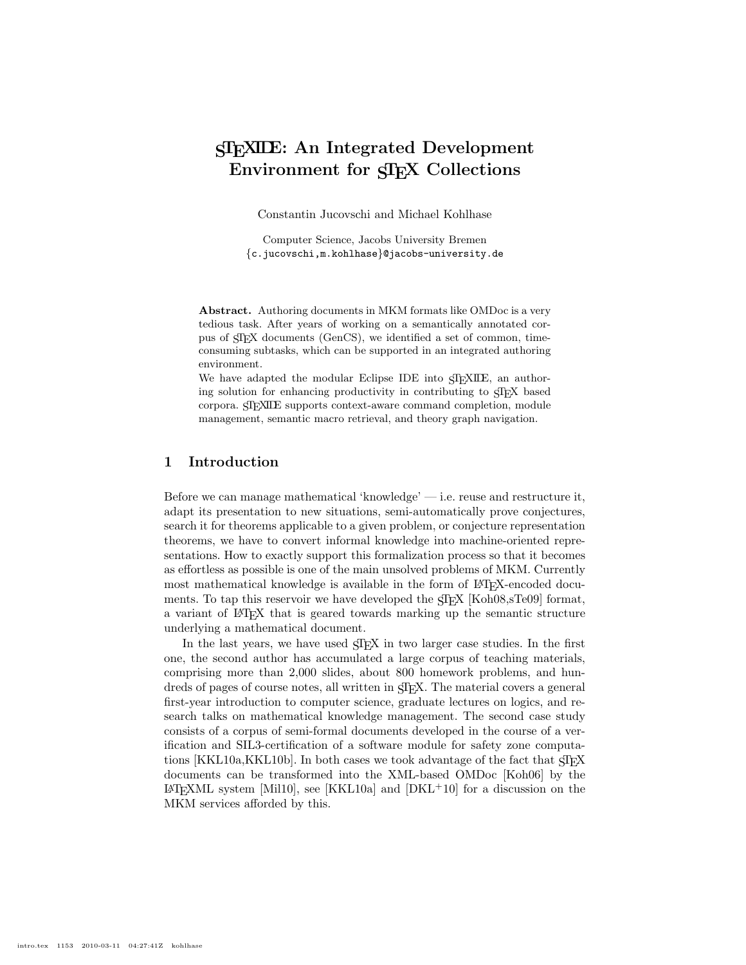# STEXIDE: An Integrated Development Environment for SIFX Collections

Constantin Jucovschi and Michael Kohlhase

Computer Science, Jacobs University Bremen {c.jucovschi,m.kohlhase}@jacobs-university.de

Abstract. Authoring documents in MKM formats like OMDoc is a very tedious task. After years of working on a semantically annotated corpus of STEX documents (GenCS), we identified a set of common, timeconsuming subtasks, which can be supported in an integrated authoring environment.

We have adapted the modular Eclipse IDE into ST<sub>E</sub>XIDE, an authoring solution for enhancing productivity in contributing to STEX based corpora. STEXIDE supports context-aware command completion, module management, semantic macro retrieval, and theory graph navigation.

# 1 Introduction

Before we can manage mathematical 'knowledge' — i.e. reuse and restructure it, adapt its presentation to new situations, semi-automatically prove conjectures, search it for theorems applicable to a given problem, or conjecture representation theorems, we have to convert informal knowledge into machine-oriented representations. How to exactly support this formalization process so that it becomes as effortless as possible is one of the main unsolved problems of MKM. Currently most mathematical knowledge is available in the form of LAT<sub>EX</sub>-encoded documents. To tap this reservoir we have developed the  $\langle T_F X | K \rangle$  [Koh08,sTe09] format, a variant of LATEX that is geared towards marking up the semantic structure underlying a mathematical document.

In the last years, we have used  $\langle T_F X \rangle$  in two larger case studies. In the first one, the second author has accumulated a large corpus of teaching materials, comprising more than 2,000 slides, about 800 homework problems, and hundreds of pages of course notes, all written in STEX. The material covers a general first-year introduction to computer science, graduate lectures on logics, and research talks on mathematical knowledge management. The second case study consists of a corpus of semi-formal documents developed in the course of a verification and SIL3-certification of a software module for safety zone computations [KKL10a,KKL10b]. In both cases we took advantage of the fact that  $\langle T_F X \rangle$ documents can be transformed into the XML-based OMDoc [Koh06] by the  $\Delta E$ FIFXML system [Mil10], see [KKL10a] and [DKL<sup>+</sup>10] for a discussion on the MKM services afforded by this.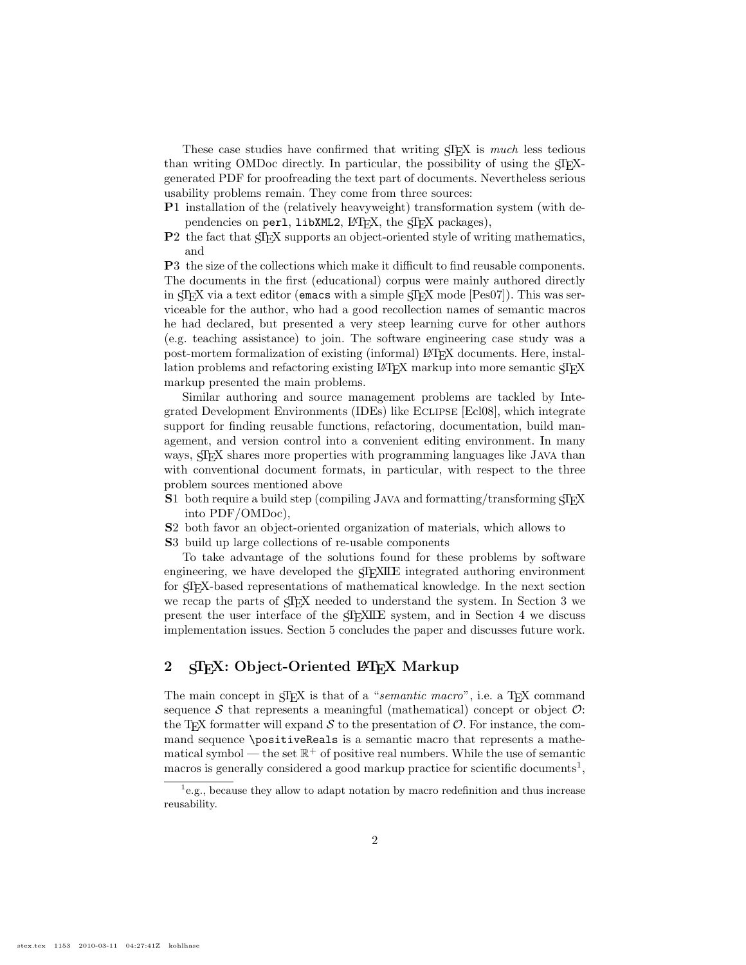These case studies have confirmed that writing  $\langle \text{Tr} X \rangle$  is *much* less tedious than writing OMDoc directly. In particular, the possibility of using the STEXgenerated PDF for proofreading the text part of documents. Nevertheless serious usability problems remain. They come from three sources:

- P1 installation of the (relatively heavyweight) transformation system (with dependencies on perl,  $\text{libXML2}, \text{LFT}X$ , the  $\text{CTr}X$  packages),
- P2 the fact that STEX supports an object-oriented style of writing mathematics, and

P3 the size of the collections which make it difficult to find reusable components. The documents in the first (educational) corpus were mainly authored directly in STEX via a text editor (emacs with a simple STEX mode [Pes07]). This was serviceable for the author, who had a good recollection names of semantic macros he had declared, but presented a very steep learning curve for other authors (e.g. teaching assistance) to join. The software engineering case study was a post-mortem formalization of existing (informal) LAT<sub>EX</sub> documents. Here, installation problems and refactoring existing LATEX markup into more semantic STEX markup presented the main problems.

Similar authoring and source management problems are tackled by Integrated Development Environments (IDEs) like Eclipse [Ecl08], which integrate support for finding reusable functions, refactoring, documentation, build management, and version control into a convenient editing environment. In many ways,  $\frac{1}{2}$  shares more properties with programming languages like JAVA than with conventional document formats, in particular, with respect to the three problem sources mentioned above

- $S1$  both require a build step (compiling JAVA and formatting/transforming  $\langle \text{Tr} X \rangle$ into PDF/OMDoc),
- S2 both favor an object-oriented organization of materials, which allows to
- S3 build up large collections of re-usable components

To take advantage of the solutions found for these problems by software engineering, we have developed the  $\langle T_F \rangle$ ILE integrated authoring environment for STEX-based representations of mathematical knowledge. In the next section we recap the parts of  $SIFX$  needed to understand the system. In Section 3 we present the user interface of the STEXIDE system, and in Section 4 we discuss implementation issues. Section 5 concludes the paper and discusses future work.

# 2 SIFX: Object-Oriented LATFX Markup

The main concept in  $\langle \text{JF} \rangle X$  is that of a "semantic macro", i.e. a T<sub>E</sub>X command sequence  $S$  that represents a meaningful (mathematical) concept or object  $\mathcal{O}$ : the T<sub>E</sub>X formatter will expand  $S$  to the presentation of  $O$ . For instance, the command sequence \positiveReals is a semantic macro that represents a mathematical symbol — the set  $\mathbb{R}^+$  of positive real numbers. While the use of semantic macros is generally considered a good markup practice for scientific documents<sup>1</sup>,

<sup>&</sup>lt;sup>1</sup>e.g., because they allow to adapt notation by macro redefinition and thus increase reusability.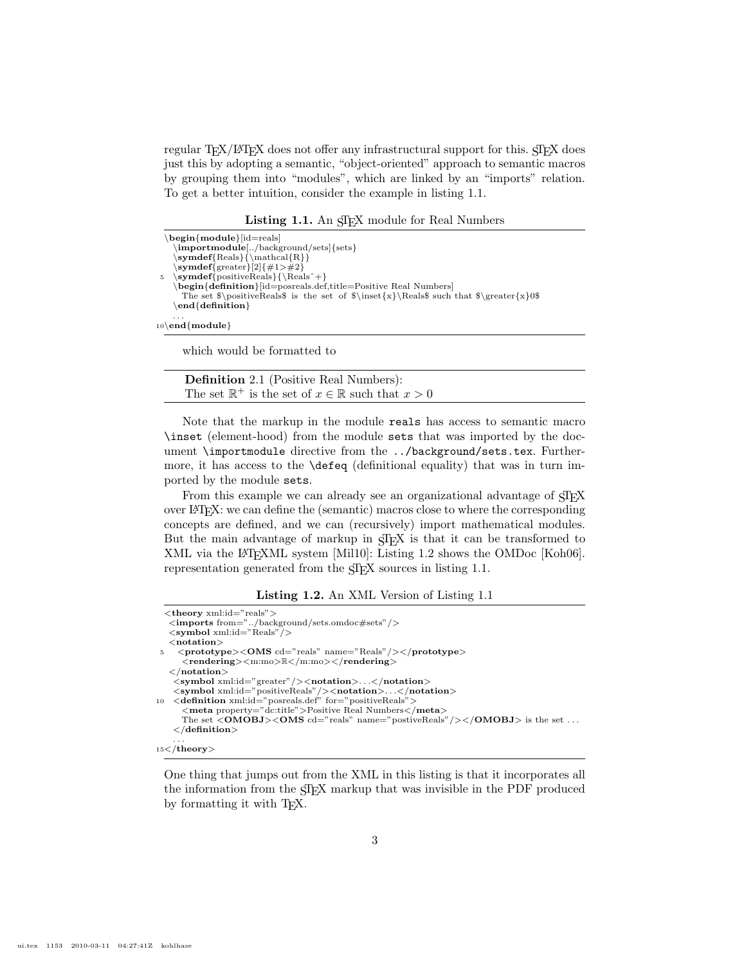regular T<sub>E</sub>X/L<sup>AT</sup>E<sub>X</sub> does not offer any infrastructural support for this. STEX does just this by adopting a semantic, "object-oriented" approach to semantic macros by grouping them into "modules", which are linked by an "imports" relation. To get a better intuition, consider the example in listing 1.1.

Listing 1.1. An STEX module for Real Numbers

| $begin{bmatrix} \textbf{begin} \end{bmatrix}$                                                                |
|--------------------------------------------------------------------------------------------------------------|
| \importmodule[/background/sets]{sets}                                                                        |
| $\mathbf{Reals} {\mathcal{R}}$                                                                               |
| $\sum_{s}$ symdef{greater}[2]{#1>#2}                                                                         |
| $\sqrt{symdef}$ positiveReals } { \Reals ^+}<br>$\overline{5}$                                               |
| $\begin{bmatrix} \text{begin} \text{definition} \end{bmatrix}$ [id=posreals.def,title=Positive Real Numbers] |
| The set $\positiveReals$ is the set of $\in \{x\} \Re$ such that $\frac{x}{0$                                |
| $\end{sub}$ end {definition }                                                                                |
| .                                                                                                            |
| $10\$ end{module}                                                                                            |

which would be formatted to

Definition 2.1 (Positive Real Numbers): The set  $\mathbb{R}^+$  is the set of  $x \in \mathbb{R}$  such that  $x > 0$ 

Note that the markup in the module reals has access to semantic macro \inset (element-hood) from the module sets that was imported by the document \importmodule directive from the ../background/sets.tex. Furthermore, it has access to the \defeq (definitional equality) that was in turn imported by the module sets.

From this example we can already see an organizational advantage of  $\langle T \rangle$ over LATEX: we can define the (semantic) macros close to where the corresponding concepts are defined, and we can (recursively) import mathematical modules. But the main advantage of markup in  $\langle \text{Tr} X \rangle$  is that it can be transformed to XML via the LATEXML system [Mil10]: Listing 1.2 shows the OMDoc [Koh06]. representation generated from the  $\langle \text{Tr} X \rangle$  sources in listing 1.1.

Listing 1.2. An XML Version of Listing 1.1

|   | $lt$ heory xml:id="reals">                                                                            |
|---|-------------------------------------------------------------------------------------------------------|
|   | $\langle$ imports from="/background/sets.omdoc#sets"/>                                                |
|   | $\langle$ symbol xml:id="Reals"/ $\rangle$                                                            |
|   | $<$ notation $>$                                                                                      |
| 5 | $\langle$ prototype $>\langle$ OMS cd="reals" name="Reals"/ $>\langle$ prototype $>$                  |
|   | $\langle$ rendering $>\langle$ m:mo $\rangle \mathbb{R}\langle$ /m:mo $>\langle$ /rendering $\rangle$ |
|   | $\langle$ /notation $\rangle$                                                                         |
|   | $\langle$ symbol xml:id="greater"/> $\langle$ notation> $\langle$ /notation>                          |
|   | $\langle$ symbol xml:id="positiveReals"/> $\langle$ notation> $\langle$ /notation>                    |
|   | 10 < <b>definition</b> xml:id="posreals.def" for="positiveReals">                                     |
|   | <meta property="dc:title"/> Positive Real Numbers                                                     |
|   | The set $\langle$ OMOBJ> $\langle$ OMS cd="reals" name="postiveReals"/> $\langle$ /OMOBJ> is the set  |
|   | $\langle$ definition $>$                                                                              |
|   |                                                                                                       |
|   | $\cdot$ $\cdot$ $\cdot$ $\cdot$                                                                       |

15</theory>

One thing that jumps out from the XML in this listing is that it incorporates all the information from the STEX markup that was invisible in the PDF produced by formatting it with T<sub>E</sub>X.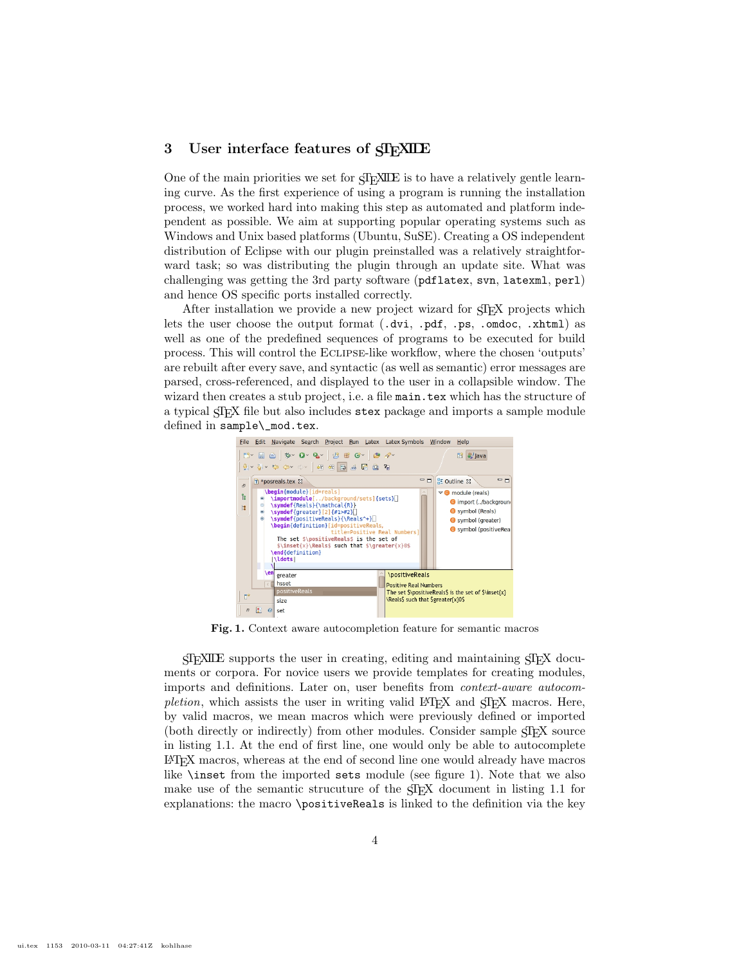## 3 User interface features of  $\frac{1}{2}$  XIDE

One of the main priorities we set for STEXILE is to have a relatively gentle learning curve. As the first experience of using a program is running the installation process, we worked hard into making this step as automated and platform independent as possible. We aim at supporting popular operating systems such as Windows and Unix based platforms (Ubuntu, SuSE). Creating a OS independent distribution of Eclipse with our plugin preinstalled was a relatively straightforward task; so was distributing the plugin through an update site. What was challenging was getting the 3rd party software (pdflatex, svn, latexml, perl) and hence OS specific ports installed correctly.

After installation we provide a new project wizard for STEX projects which lets the user choose the output format (.dvi, .pdf, .ps, .omdoc, .xhtml) as well as one of the predefined sequences of programs to be executed for build process. This will control the Eclipse-like workflow, where the chosen 'outputs' are rebuilt after every save, and syntactic (as well as semantic) error messages are parsed, cross-referenced, and displayed to the user in a collapsible window. The wizard then creates a stub project, i.e. a file main.tex which has the structure of a typical STEX file but also includes stex package and imports a sample module defined in sample\\_mod.tex.



Fig. 1. Context aware autocompletion feature for semantic macros

 $\langle \text{SIFXILE} \rangle$  supports the user in creating, editing and maintaining  $\langle \text{SIFX} \rangle$  documents or corpora. For novice users we provide templates for creating modules, imports and definitions. Later on, user benefits from context-aware autocompletion, which assists the user in writing valid LATEX and  $SIFX$  macros. Here, by valid macros, we mean macros which were previously defined or imported (both directly or indirectly) from other modules. Consider sample STEX source in listing 1.1. At the end of first line, one would only be able to autocomplete LATEX macros, whereas at the end of second line one would already have macros like \inset from the imported sets module (see figure 1). Note that we also make use of the semantic strucuture of the STEX document in listing 1.1 for explanations: the macro \positiveReals is linked to the definition via the key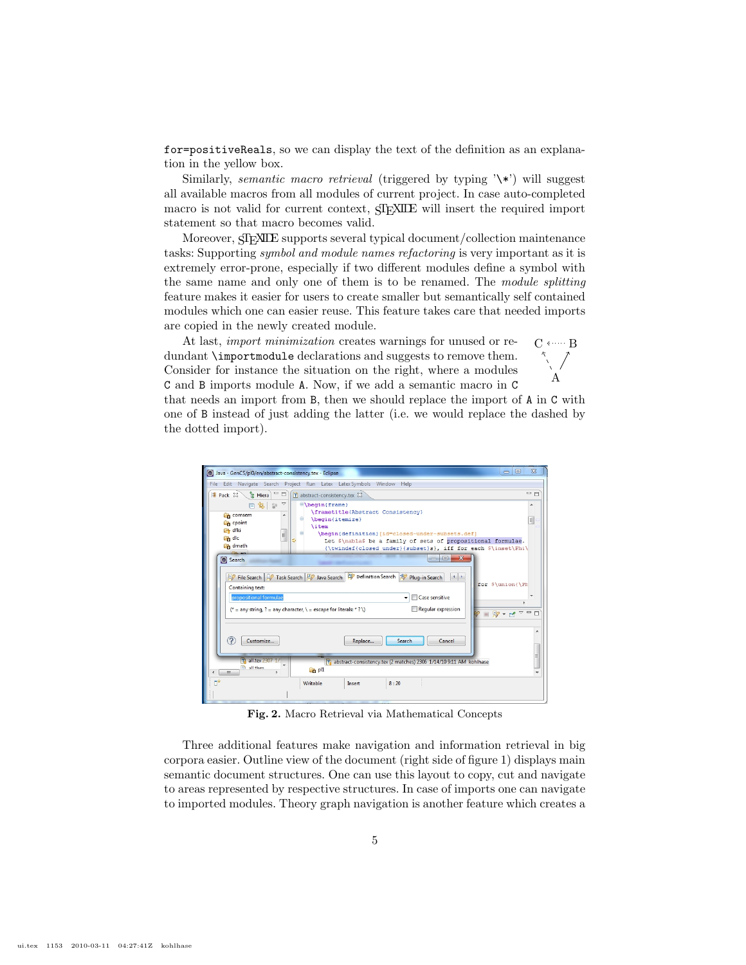for=positiveReals, so we can display the text of the definition as an explanation in the yellow box.

Similarly, *semantic macro retrieval* (triggered by typing  $\forall$  \*) will suggest all available macros from all modules of current project. In case auto-completed macro is not valid for current context,  $\langle \text{Tr} \rangle \text{XILE}$  will insert the required import statement so that macro becomes valid.

Moreover, SIEXILE supports several typical document/collection maintenance tasks: Supporting symbol and module names refactoring is very important as it is extremely error-prone, especially if two different modules define a symbol with the same name and only one of them is to be renamed. The module splitting feature makes it easier for users to create smaller but semantically self contained modules which one can easier reuse. This feature takes care that needed imports are copied in the newly created module.

At last, import minimization creates warnings for unused or redundant \importmodule declarations and suggests to remove them. Consider for instance the situation on the right, where a modules C and B imports module A. Now, if we add a semantic macro in C

 $C \leftarrow B$ A

that needs an import from B, then we should replace the import of A in C with one of B instead of just adding the latter (i.e. we would replace the dashed by the dotted import).



Fig. 2. Macro Retrieval via Mathematical Concepts

Three additional features make navigation and information retrieval in big corpora easier. Outline view of the document (right side of figure 1) displays main semantic document structures. One can use this layout to copy, cut and navigate to areas represented by respective structures. In case of imports one can navigate to imported modules. Theory graph navigation is another feature which creates a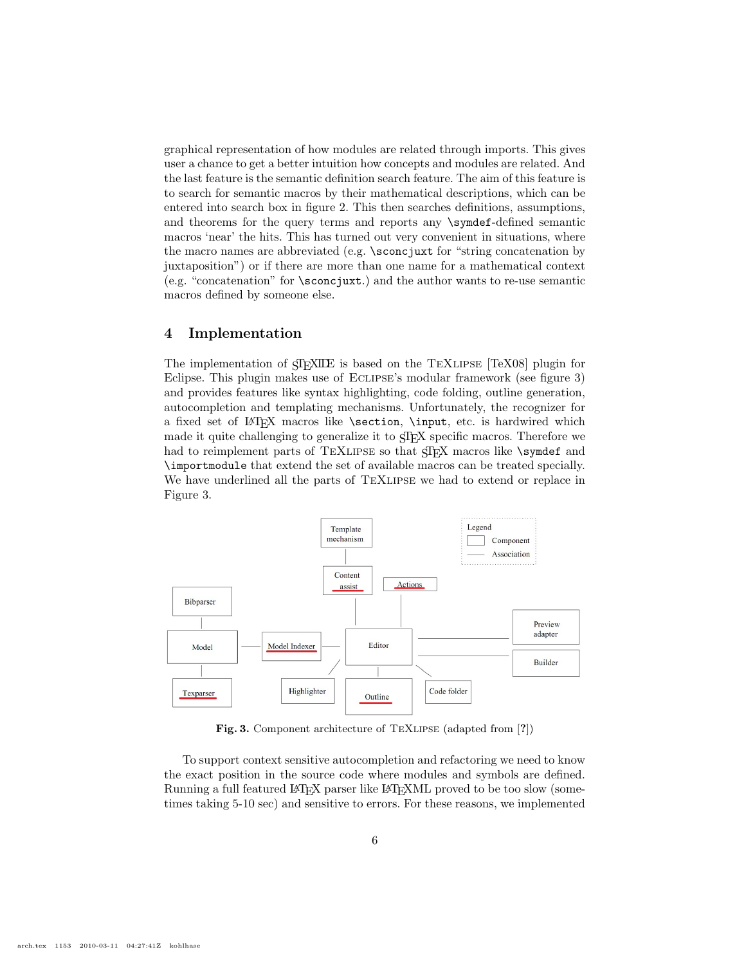graphical representation of how modules are related through imports. This gives user a chance to get a better intuition how concepts and modules are related. And the last feature is the semantic definition search feature. The aim of this feature is to search for semantic macros by their mathematical descriptions, which can be entered into search box in figure 2. This then searches definitions, assumptions, and theorems for the query terms and reports any \symdef-defined semantic macros 'near' the hits. This has turned out very convenient in situations, where the macro names are abbreviated (e.g. \sconcjuxt for "string concatenation by juxtaposition") or if there are more than one name for a mathematical context (e.g. "concatenation" for \sconcjuxt.) and the author wants to re-use semantic macros defined by someone else.

### 4 Implementation

The implementation of STEXILE is based on the TEXLIPSE [TeX08] plugin for Eclipse. This plugin makes use of Eclipse's modular framework (see figure 3) and provides features like syntax highlighting, code folding, outline generation, autocompletion and templating mechanisms. Unfortunately, the recognizer for a fixed set of LATEX macros like \section, \input, etc. is hardwired which made it quite challenging to generalize it to STEX specific macros. Therefore we had to reimplement parts of TEXLIPSE so that STEX macros like \symdef and \importmodule that extend the set of available macros can be treated specially. We have underlined all the parts of TEXLIPSE we had to extend or replace in Figure 3.



Fig. 3. Component architecture of TEXLIPSE (adapted from [?])

To support context sensitive autocompletion and refactoring we need to know the exact position in the source code where modules and symbols are defined. Running a full featured LATEX parser like LATEXML proved to be too slow (sometimes taking 5-10 sec) and sensitive to errors. For these reasons, we implemented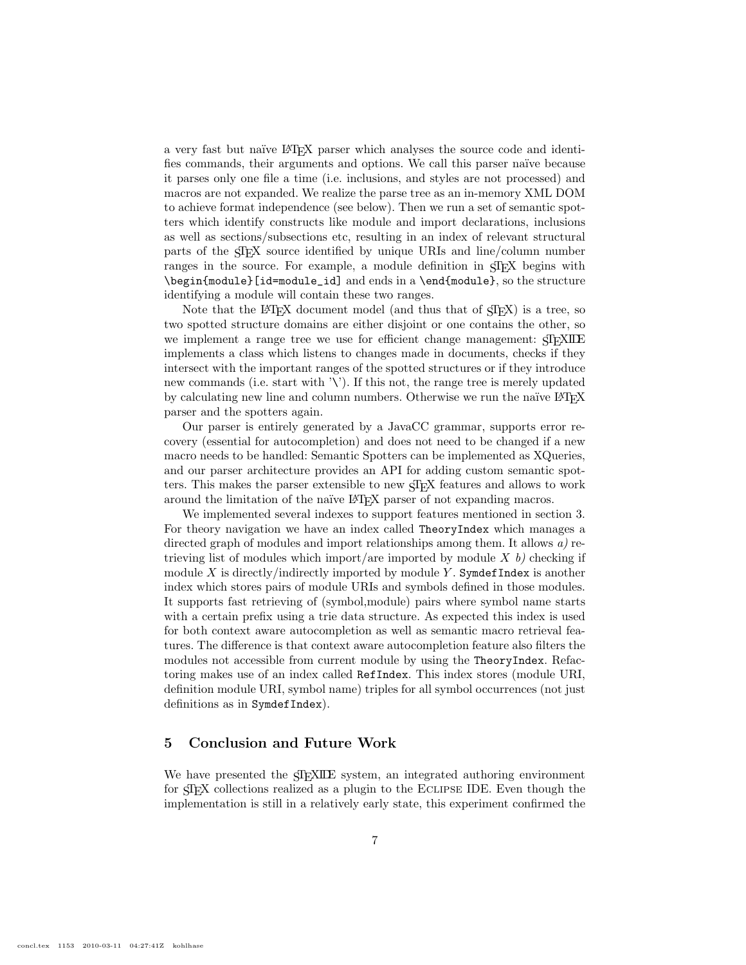a very fast but naïve LAT<sub>EX</sub> parser which analyses the source code and identifies commands, their arguments and options. We call this parser naïve because it parses only one file a time (i.e. inclusions, and styles are not processed) and macros are not expanded. We realize the parse tree as an in-memory XML DOM to achieve format independence (see below). Then we run a set of semantic spotters which identify constructs like module and import declarations, inclusions as well as sections/subsections etc, resulting in an index of relevant structural parts of the STEX source identified by unique URIs and line/column number ranges in the source. For example, a module definition in STEX begins with \begin{module}[id=module\_id] and ends in a \end{module}, so the structure identifying a module will contain these two ranges.

Note that the LAT<sub>EX</sub> document model (and thus that of  $\langle T_{\text{F}}X \rangle$ ) is a tree, so two spotted structure domains are either disjoint or one contains the other, so we implement a range tree we use for efficient change management:  $\langle T_F \rangle$ implements a class which listens to changes made in documents, checks if they intersect with the important ranges of the spotted structures or if they introduce new commands (i.e. start with  $\langle \cdot \rangle$ ). If this not, the range tree is merely updated by calculating new line and column numbers. Otherwise we run the naïve LATEX parser and the spotters again.

Our parser is entirely generated by a JavaCC grammar, supports error recovery (essential for autocompletion) and does not need to be changed if a new macro needs to be handled: Semantic Spotters can be implemented as XQueries, and our parser architecture provides an API for adding custom semantic spotters. This makes the parser extensible to new STEX features and allows to work around the limitation of the naïve LAT<sub>EX</sub> parser of not expanding macros.

We implemented several indexes to support features mentioned in section 3. For theory navigation we have an index called TheoryIndex which manages a directed graph of modules and import relationships among them. It allows a) retrieving list of modules which import/are imported by module  $X$  b) checking if module X is directly/indirectly imported by module Y. SymdefIndex is another index which stores pairs of module URIs and symbols defined in those modules. It supports fast retrieving of (symbol,module) pairs where symbol name starts with a certain prefix using a trie data structure. As expected this index is used for both context aware autocompletion as well as semantic macro retrieval features. The difference is that context aware autocompletion feature also filters the modules not accessible from current module by using the TheoryIndex. Refactoring makes use of an index called RefIndex. This index stores (module URI, definition module URI, symbol name) triples for all symbol occurrences (not just definitions as in SymdefIndex).

### 5 Conclusion and Future Work

We have presented the  $SIFXILE$  system, an integrated authoring environment for STEX collections realized as a plugin to the Eclipse IDE. Even though the implementation is still in a relatively early state, this experiment confirmed the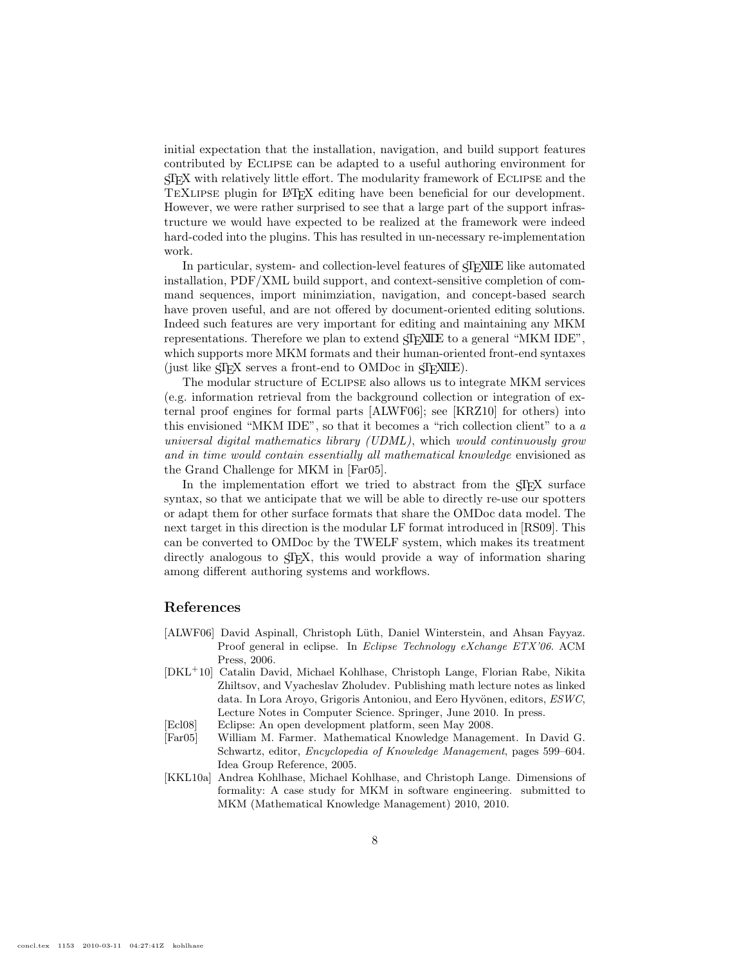initial expectation that the installation, navigation, and build support features contributed by Eclipse can be adapted to a useful authoring environment for STEX with relatively little effort. The modularity framework of Eclipse and the TEXLIPSE plugin for LATEX editing have been beneficial for our development. However, we were rather surprised to see that a large part of the support infrastructure we would have expected to be realized at the framework were indeed hard-coded into the plugins. This has resulted in un-necessary re-implementation work.

In particular, system- and collection-level features of  $SIFXILE$  like automated installation, PDF/XML build support, and context-sensitive completion of command sequences, import minimziation, navigation, and concept-based search have proven useful, and are not offered by document-oriented editing solutions. Indeed such features are very important for editing and maintaining any MKM representations. Therefore we plan to extend  $\langle T_F \rangle$  and  $\langle T_F \rangle$  to a general "MKM IDE", which supports more MKM formats and their human-oriented front-end syntaxes (just like STEX serves a front-end to OMDoc in STEXILE).

The modular structure of Eclipse also allows us to integrate MKM services (e.g. information retrieval from the background collection or integration of external proof engines for formal parts [ALWF06]; see [KRZ10] for others) into this envisioned "MKM IDE", so that it becomes a "rich collection client" to a a universal digital mathematics library (UDML), which would continuously grow and in time would contain essentially all mathematical knowledge envisioned as the Grand Challenge for MKM in [Far05].

In the implementation effort we tried to abstract from the STEX surface syntax, so that we anticipate that we will be able to directly re-use our spotters or adapt them for other surface formats that share the OMDoc data model. The next target in this direction is the modular LF format introduced in [RS09]. This can be converted to OMDoc by the TWELF system, which makes its treatment directly analogous to  $\langle \text{Tr} X, \text{ this would provide a way of information sharing}$ among different authoring systems and workflows.

#### References

- [ALWF06] David Aspinall, Christoph Lüth, Daniel Winterstein, and Ahsan Fayyaz. Proof general in eclipse. In Eclipse Technology eXchange ETX'06. ACM Press, 2006.
- [DKL<sup>+</sup>10] Catalin David, Michael Kohlhase, Christoph Lange, Florian Rabe, Nikita Zhiltsov, and Vyacheslav Zholudev. Publishing math lecture notes as linked data. In Lora Aroyo, Grigoris Antoniou, and Eero Hyvönen, editors, ESWC, Lecture Notes in Computer Science. Springer, June 2010. In press.
- [Ecl08] Eclipse: An open development platform, seen May 2008.
- [Far05] William M. Farmer. Mathematical Knowledge Management. In David G. Schwartz, editor, Encyclopedia of Knowledge Management, pages 599–604. Idea Group Reference, 2005.
- [KKL10a] Andrea Kohlhase, Michael Kohlhase, and Christoph Lange. Dimensions of formality: A case study for MKM in software engineering. submitted to MKM (Mathematical Knowledge Management) 2010, 2010.